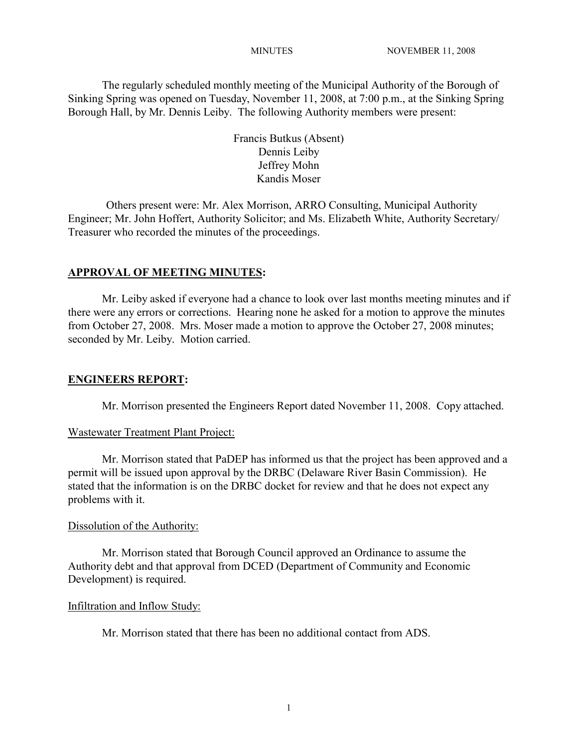The regularly scheduled monthly meeting of the Municipal Authority of the Borough of Sinking Spring was opened on Tuesday, November 11, 2008, at 7:00 p.m., at the Sinking Spring Borough Hall, by Mr. Dennis Leiby. The following Authority members were present:

> Francis Butkus (Absent) Dennis Leiby Jeffrey Mohn Kandis Moser

Others present were: Mr. Alex Morrison, ARRO Consulting, Municipal Authority Engineer; Mr. John Hoffert, Authority Solicitor; and Ms. Elizabeth White, Authority Secretary/ Treasurer who recorded the minutes of the proceedings.

### **APPROVAL OF MEETING MINUTES:**

Mr. Leiby asked if everyone had a chance to look over last months meeting minutes and if there were any errors or corrections. Hearing none he asked for a motion to approve the minutes from October 27, 2008. Mrs. Moser made a motion to approve the October 27, 2008 minutes; seconded by Mr. Leiby. Motion carried.

### **ENGINEERS REPORT:**

Mr. Morrison presented the Engineers Report dated November 11, 2008. Copy attached.

### Wastewater Treatment Plant Project:

Mr. Morrison stated that PaDEP has informed us that the project has been approved and a permit will be issued upon approval by the DRBC (Delaware River Basin Commission). He stated that the information is on the DRBC docket for review and that he does not expect any problems with it.

### Dissolution of the Authority:

Mr. Morrison stated that Borough Council approved an Ordinance to assume the Authority debt and that approval from DCED (Department of Community and Economic Development) is required.

### Infiltration and Inflow Study:

Mr. Morrison stated that there has been no additional contact from ADS.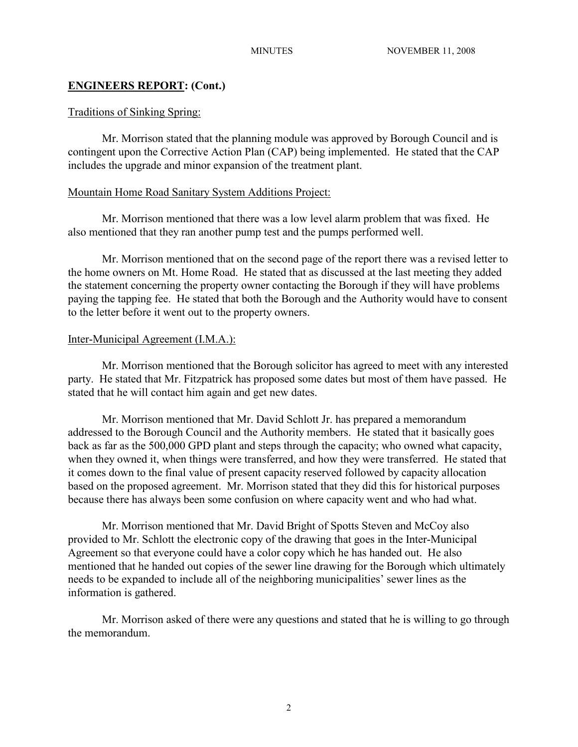# **ENGINEERS REPORT: (Cont.)**

## Traditions of Sinking Spring:

Mr. Morrison stated that the planning module was approved by Borough Council and is contingent upon the Corrective Action Plan (CAP) being implemented. He stated that the CAP includes the upgrade and minor expansion of the treatment plant.

## Mountain Home Road Sanitary System Additions Project:

Mr. Morrison mentioned that there was a low level alarm problem that was fixed. He also mentioned that they ran another pump test and the pumps performed well.

Mr. Morrison mentioned that on the second page of the report there was a revised letter to the home owners on Mt. Home Road. He stated that as discussed at the last meeting they added the statement concerning the property owner contacting the Borough if they will have problems paying the tapping fee. He stated that both the Borough and the Authority would have to consent to the letter before it went out to the property owners.

## Inter-Municipal Agreement (I.M.A.):

Mr. Morrison mentioned that the Borough solicitor has agreed to meet with any interested party. He stated that Mr. Fitzpatrick has proposed some dates but most of them have passed. He stated that he will contact him again and get new dates.

Mr. Morrison mentioned that Mr. David Schlott Jr. has prepared a memorandum addressed to the Borough Council and the Authority members. He stated that it basically goes back as far as the 500,000 GPD plant and steps through the capacity; who owned what capacity, when they owned it, when things were transferred, and how they were transferred. He stated that it comes down to the final value of present capacity reserved followed by capacity allocation based on the proposed agreement. Mr. Morrison stated that they did this for historical purposes because there has always been some confusion on where capacity went and who had what.

Mr. Morrison mentioned that Mr. David Bright of Spotts Steven and McCoy also provided to Mr. Schlott the electronic copy of the drawing that goes in the Inter-Municipal Agreement so that everyone could have a color copy which he has handed out. He also mentioned that he handed out copies of the sewer line drawing for the Borough which ultimately needs to be expanded to include all of the neighboring municipalities' sewer lines as the information is gathered.

Mr. Morrison asked of there were any questions and stated that he is willing to go through the memorandum.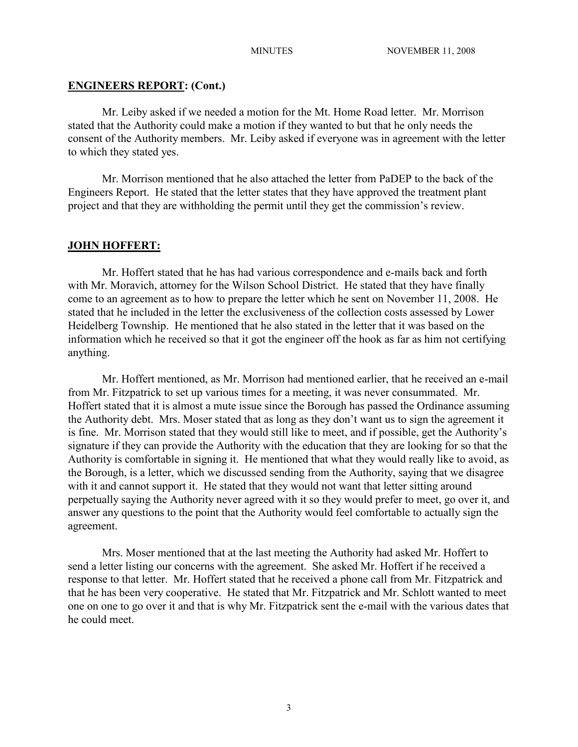#### **ENGINEERS REPORT: (Cont.)**

Mr. Leiby asked if we needed a motion for the Mt. Home Road letter. Mr. Morrison stated that the Authority could make a motion if they wanted to but that he only needs the consent of the Authority members. Mr. Leiby asked if everyone was in agreement with the letter to which they stated yes.

Mr. Morrison mentioned that he also attached the letter from PaDEP to the back of the Engineers Report. He stated that the letter states that they have approved the treatment plant project and that they are withholding the permit until they get the commission's review.

#### **JOHN HOFFERT:**

Mr. Hoffert stated that he has had various correspondence and e-mails back and forth with Mr. Moravich, attorney for the Wilson School District. He stated that they have finally come to an agreement as to how to prepare the letter which he sent on November 11, 2008. He stated that he included in the letter the exclusiveness of the collection costs assessed by Lower Heidelberg Township. He mentioned that he also stated in the letter that it was based on the information which he received so that it got the engineer off the hook as far as him not certifying anything.

Mr. Hoffert mentioned, as Mr. Morrison had mentioned earlier, that he received an e-mail from Mr. Fitzpatrick to set up various times for a meeting, it was never consummated. Mr. Hoffert stated that it is almost a mute issue since the Borough has passed the Ordinance assuming the Authority debt. Mrs. Moser stated that as long as they don't want us to sign the agreement it is fine. Mr. Morrison stated that they would still like to meet, and if possible, get the Authority's signature if they can provide the Authority with the education that they are looking for so that the Authority is comfortable in signing it. He mentioned that what they would really like to avoid, as the Borough, is a letter, which we discussed sending from the Authority, saying that we disagree with it and cannot support it. He stated that they would not want that letter sitting around perpetually saying the Authority never agreed with it so they would prefer to meet, go over it, and answer any questions to the point that the Authority would feel comfortable to actually sign the agreement.

Mrs. Moser mentioned that at the last meeting the Authority had asked Mr. Hoffert to send a letter listing our concerns with the agreement. She asked Mr. Hoffert if he received a response to that letter. Mr. Hoffert stated that he received a phone call from Mr. Fitzpatrick and that he has been very cooperative. He stated that Mr. Fitzpatrick and Mr. Schlott wanted to meet one on one to go over it and that is why Mr. Fitzpatrick sent the e-mail with the various dates that he could meet.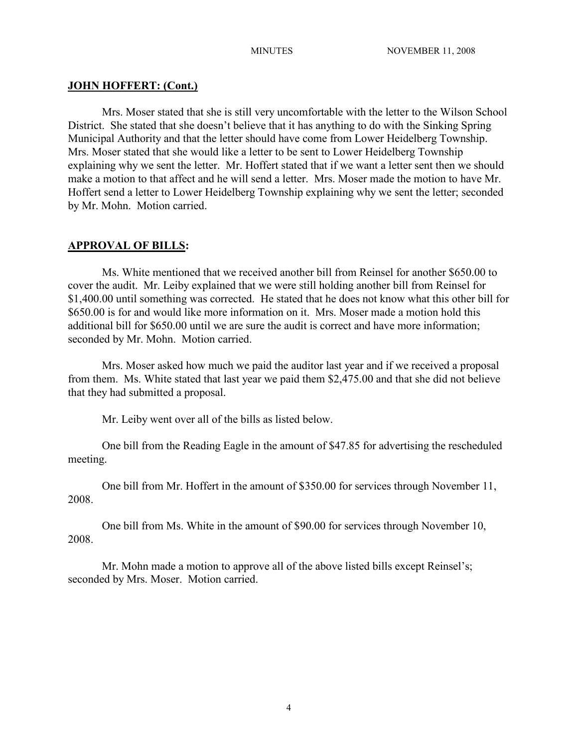#### **JOHN HOFFERT: (Cont.)**

Mrs. Moser stated that she is still very uncomfortable with the letter to the Wilson School District. She stated that she doesn't believe that it has anything to do with the Sinking Spring Municipal Authority and that the letter should have come from Lower Heidelberg Township. Mrs. Moser stated that she would like a letter to be sent to Lower Heidelberg Township explaining why we sent the letter. Mr. Hoffert stated that if we want a letter sent then we should make a motion to that affect and he will send a letter. Mrs. Moser made the motion to have Mr. Hoffert send a letter to Lower Heidelberg Township explaining why we sent the letter; seconded by Mr. Mohn. Motion carried.

#### **APPROVAL OF BILLS:**

Ms. White mentioned that we received another bill from Reinsel for another \$650.00 to cover the audit. Mr. Leiby explained that we were still holding another bill from Reinsel for \$1,400.00 until something was corrected. He stated that he does not know what this other bill for \$650.00 is for and would like more information on it. Mrs. Moser made a motion hold this additional bill for \$650.00 until we are sure the audit is correct and have more information; seconded by Mr. Mohn. Motion carried.

Mrs. Moser asked how much we paid the auditor last year and if we received a proposal from them. Ms. White stated that last year we paid them \$2,475.00 and that she did not believe that they had submitted a proposal.

Mr. Leiby went over all of the bills as listed below.

One bill from the Reading Eagle in the amount of \$47.85 for advertising the rescheduled meeting.

One bill from Mr. Hoffert in the amount of \$350.00 for services through November 11, 2008.

One bill from Ms. White in the amount of \$90.00 for services through November 10, 2008.

Mr. Mohn made a motion to approve all of the above listed bills except Reinsel's; seconded by Mrs. Moser. Motion carried.